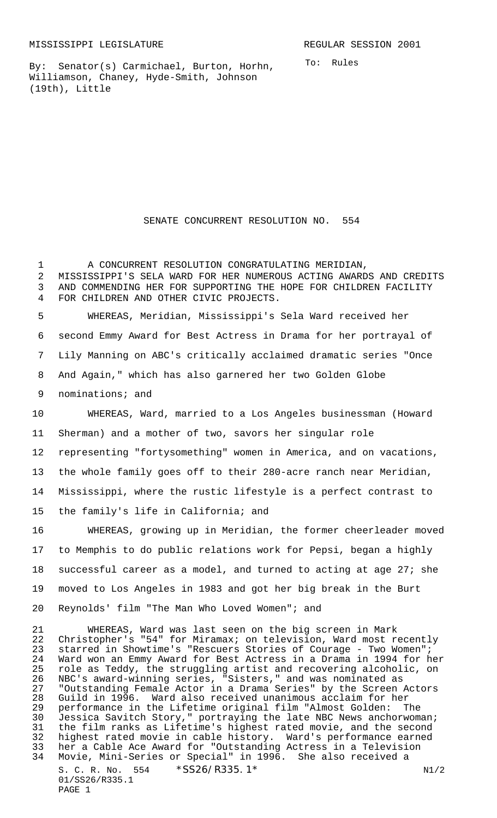By: Senator(s) Carmichael, Burton, Horhn, Williamson, Chaney, Hyde-Smith, Johnson (19th), Little

To: Rules

## SENATE CONCURRENT RESOLUTION NO. 554

1 A CONCURRENT RESOLUTION CONGRATULATING MERIDIAN, MISSISSIPPI'S SELA WARD FOR HER NUMEROUS ACTING AWARDS AND CREDITS AND COMMENDING HER FOR SUPPORTING THE HOPE FOR CHILDREN FACILITY FOR CHILDREN AND OTHER CIVIC PROJECTS. WHEREAS, Meridian, Mississippi's Sela Ward received her second Emmy Award for Best Actress in Drama for her portrayal of Lily Manning on ABC's critically acclaimed dramatic series "Once And Again," which has also garnered her two Golden Globe nominations; and WHEREAS, Ward, married to a Los Angeles businessman (Howard Sherman) and a mother of two, savors her singular role representing "fortysomething" women in America, and on vacations, the whole family goes off to their 280-acre ranch near Meridian, Mississippi, where the rustic lifestyle is a perfect contrast to the family's life in California; and WHEREAS, growing up in Meridian, the former cheerleader moved to Memphis to do public relations work for Pepsi, began a highly successful career as a model, and turned to acting at age 27; she moved to Los Angeles in 1983 and got her big break in the Burt Reynolds' film "The Man Who Loved Women"; and WHEREAS, Ward was last seen on the big screen in Mark

S. C. R. No. \*SS26/R335.1\* 01/SS26/R335.1 PAGE 1 22 Christopher's "54" for Miramax; on television, Ward most recently<br>23 starred in Showtime's "Rescuers Stories of Courage - Two Women"; starred in Showtime's "Rescuers Stories of Courage - Two Women"; Ward won an Emmy Award for Best Actress in a Drama in 1994 for her 25 role as Teddy, the struggling artist and recovering alcoholic, on<br>26 NBC's award-winning series, "Sisters," and was nominated as 26 NBC's award-winning series, "Sisters," and was nominated as<br>27 "Outstanding Female Actor in a Drama Series" by the Screen 27 "Outstanding Female Actor in a Drama Series" by the Screen Actors<br>28 Guild in 1996. Ward also received unanimous acclaim for her Guild in 1996. Ward also received unanimous acclaim for her performance in the Lifetime original film "Almost Golden: The 30 Jessica Savitch Story," portraying the late NBC News anchorwoman;<br>31 the film ranks as Lifetime's highest rated movie, and the second 31 the film ranks as Lifetime's highest rated movie, and the second<br>32 highest rated movie in cable history. Ward's performance earned 32 highest rated movie in cable history. Ward's performance earned<br>33 her a Cable Ace Award for "Outstanding Actress in a Television her a Cable Ace Award for "Outstanding Actress in a Television Movie, Mini-Series or Special" in 1996. She also received a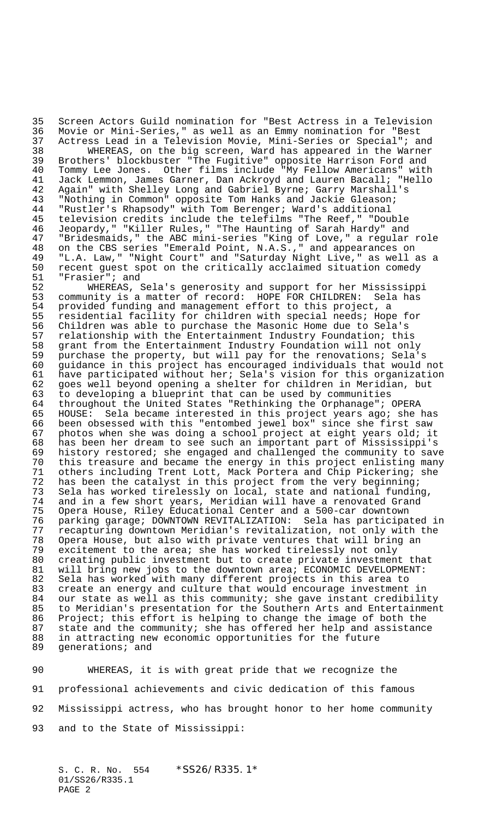35 Screen Actors Guild nomination for "Best Actress in a Television<br>36 Movie or Mini-Series," as well as an Emmy nomination for "Best Movie or Mini-Series," as well as an Emmy nomination for "Best 37 Actress Lead in a Television Movie, Mini-Series or Special"; and<br>38 WHEREAS, on the big screen, Ward has appeared in the Warner WHEREAS, on the big screen, Ward has appeared in the Warner 39 Brothers' blockbuster "The Fugitive" opposite Harrison Ford and<br>40 Tommy Lee Jones. Other films include "My Fellow Americans" with Tommy Lee Jones. Other films include "My Fellow Americans" with Jack Lemmon, James Garner, Dan Ackroyd and Lauren Bacall; "Hello Again" with Shelley Long and Gabriel Byrne; Garry Marshall's "Nothing in Common" opposite Tom Hanks and Jackie Gleason; "Rustler's Rhapsody" with Tom Berenger; Ward's additional 45 television credits include the telefilms "The Reef," "Double<br>46 Jeopardy," "Killer Rules," "The Haunting of Sarah Hardy" and Jeopardy," "Killer Rules," "The Haunting of Sarah Hardy" and "Bridesmaids," the ABC mini-series "King of Love," a regular role on the CBS series "Emerald Point, N.A.S.," and appearances on "L.A. Law," "Night Court" and "Saturday Night Live," as well as a recent guest spot on the critically acclaimed situation comedy

51 "Frasier"; and<br>52 MHEREAS, S 52 WHEREAS, Sela's generosity and support for her Mississippi 53 community is a matter of record: HOPE FOR CHILDREN: Sela has<br>54 provided funding and management effort to this project, a 54 provided funding and management effort to this project, a<br>55 residential facility for children with special needs; Hope 55 residential facility for children with special needs; Hope for<br>56 Children was able to purchase the Masonic Home due to Sela's 56 Children was able to purchase the Masonic Home due to Sela's<br>57 relationship with the Entertainment Industry Foundation; thi relationship with the Entertainment Industry Foundation; this 58 grant from the Entertainment Industry Foundation will not only<br>59 purchase the property, but will pay for the renovations; Sela' 59 purchase the property, but will pay for the renovations; Sela's 60 guidance in this project has encouraged individuals that would not 61 have participated without her; Sela's vision for this organization 62 goes well beyond opening a shelter for children in Meridian, but 63 to developing a blueprint that can be used by communities throughout the United States "Rethinking the Orphanage"; OPERA 65 HOUSE: Sela became interested in this project years ago; she has 66 been obsessed with this "entombed jewel box" since she first saw 67 photos when she was doing a school project at eight years old; it 68 has been her dream to see such an important part of Mississippi's 69 history restored; she engaged and challenged the community to save 70 this treasure and became the energy in this project enlisting many 71 others including Trent Lott, Mack Portera and Chip Pickering; she 72 has been the catalyst in this project from the very beginning;<br>73 Sela has worked tirelessly on local, state and national fundin 73 Sela has worked tirelessly on local, state and national funding,<br>74 and in a few short years, Meridian will have a renovated Grand 74 and in a few short years, Meridian will have a renovated Grand 75 Opera House, Riley Educational Center and a 500-car downtown 76 parking garage; DOWNTOWN REVITALIZATION: Sela has participated in<br>77 recapturing downtown Meridian's revitalization, not only with the 77 recapturing downtown Meridian's revitalization, not only with the Opera House, but also with private ventures that will bring an 79 excitement to the area; she has worked tirelessly not only 80 creating public investment but to create private investment that 81 will bring new jobs to the downtown area; ECONOMIC DEVELOPMENT: 82 Sela has worked with many different projects in this area to 83 create an energy and culture that would encourage investment in 84 our state as well as this community; she gave instant credibility<br>85 to Meridian's presentation for the Southern Arts and Entertainmen to Meridian's presentation for the Southern Arts and Entertainment 86 Project; this effort is helping to change the image of both the<br>87 state and the community; she has offered her help and assistanc 87 state and the community; she has offered her help and assistance<br>88 in attracting new economic opportunities for the future in attracting new economic opportunities for the future 89 generations; and

 WHEREAS, it is with great pride that we recognize the professional achievements and civic dedication of this famous Mississippi actress, who has brought honor to her home community and to the State of Mississippi:

S. C. R. No. 554 \*SS26/R335.1\* 01/SS26/R335.1 PAGE 2